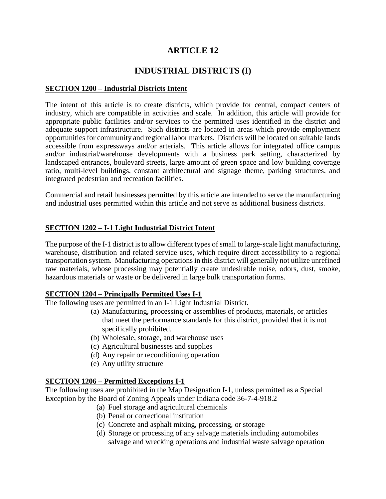# **ARTICLE 12**

# **INDUSTRIAL DISTRICTS (I)**

#### **SECTION 1200 – Industrial Districts Intent**

The intent of this article is to create districts, which provide for central, compact centers of industry, which are compatible in activities and scale. In addition, this article will provide for appropriate public facilities and/or services to the permitted uses identified in the district and adequate support infrastructure. Such districts are located in areas which provide employment opportunities for community and regional labor markets. Districts will be located on suitable lands accessible from expressways and/or arterials. This article allows for integrated office campus and/or industrial/warehouse developments with a business park setting, characterized by landscaped entrances, boulevard streets, large amount of green space and low building coverage ratio, multi-level buildings, constant architectural and signage theme, parking structures, and integrated pedestrian and recreation facilities.

Commercial and retail businesses permitted by this article are intended to serve the manufacturing and industrial uses permitted within this article and not serve as additional business districts.

#### **SECTION 1202 – I-1 Light Industrial District Intent**

The purpose of the I-1 district is to allow different types of small to large-scale light manufacturing, warehouse, distribution and related service uses, which require direct accessibility to a regional transportation system. Manufacturing operations in this district will generally not utilize unrefined raw materials, whose processing may potentially create undesirable noise, odors, dust, smoke, hazardous materials or waste or be delivered in large bulk transportation forms.

#### **SECTION 1204 – Principally Permitted Uses I-1**

The following uses are permitted in an I-1 Light Industrial District.

- (a) Manufacturing, processing or assemblies of products, materials, or articles that meet the performance standards for this district, provided that it is not specifically prohibited.
- (b) Wholesale, storage, and warehouse uses
- (c) Agricultural businesses and supplies
- (d) Any repair or reconditioning operation
- (e) Any utility structure

#### **SECTION 1206 – Permitted Exceptions I-1**

The following uses are prohibited in the Map Designation I-1, unless permitted as a Special Exception by the Board of Zoning Appeals under Indiana code 36-7-4-918.2

- (a) Fuel storage and agricultural chemicals
- (b) Penal or correctional institution
- (c) Concrete and asphalt mixing, processing, or storage
- (d) Storage or processing of any salvage materials including automobiles salvage and wrecking operations and industrial waste salvage operation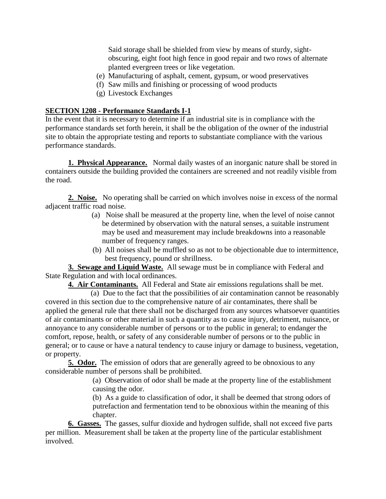Said storage shall be shielded from view by means of sturdy, sightobscuring, eight foot high fence in good repair and two rows of alternate planted evergreen trees or like vegetation.

- (e) Manufacturing of asphalt, cement, gypsum, or wood preservatives
- (f) Saw mills and finishing or processing of wood products
- (g) Livestock Exchanges

# **SECTION 1208 - Performance Standards I-1**

In the event that it is necessary to determine if an industrial site is in compliance with the performance standards set forth herein, it shall be the obligation of the owner of the industrial site to obtain the appropriate testing and reports to substantiate compliance with the various performance standards.

**1. Physical Appearance.** Normal daily wastes of an inorganic nature shall be stored in containers outside the building provided the containers are screened and not readily visible from the road.

**2. Noise.** No operating shall be carried on which involves noise in excess of the normal adjacent traffic road noise.

- (a) Noise shall be measured at the property line, when the level of noise cannot be determined by observation with the natural senses, a suitable instrument may be used and measurement may include breakdowns into a reasonable number of frequency ranges.
- (b) All noises shall be muffled so as not to be objectionable due to intermittence, best frequency, pound or shrillness.

**3. Sewage and Liquid Waste.** All sewage must be in compliance with Federal and State Regulation and with local ordinances.

**4. Air Contaminants.** All Federal and State air emissions regulations shall be met.

(a) Due to the fact that the possibilities of air contamination cannot be reasonably covered in this section due to the comprehensive nature of air contaminates, there shall be applied the general rule that there shall not be discharged from any sources whatsoever quantities of air contaminants or other material in such a quantity as to cause injury, detriment, nuisance, or annoyance to any considerable number of persons or to the public in general; to endanger the comfort, repose, health, or safety of any considerable number of persons or to the public in general; or to cause or have a natural tendency to cause injury or damage to business, vegetation, or property.

**5. Odor.** The emission of odors that are generally agreed to be obnoxious to any considerable number of persons shall be prohibited.

> (a) Observation of odor shall be made at the property line of the establishment causing the odor.

> (b) As a guide to classification of odor, it shall be deemed that strong odors of putrefaction and fermentation tend to be obnoxious within the meaning of this chapter.

**6. Gasses.** The gasses, sulfur dioxide and hydrogen sulfide, shall not exceed five parts per million. Measurement shall be taken at the property line of the particular establishment involved.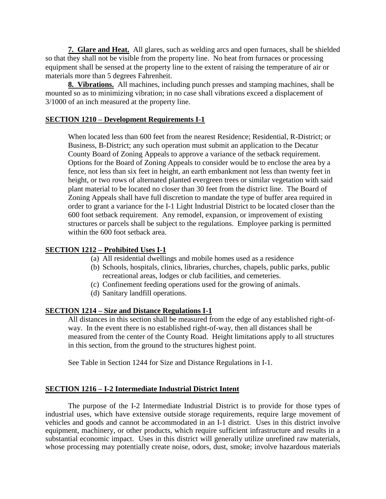**7. Glare and Heat.** All glares, such as welding arcs and open furnaces, shall be shielded so that they shall not be visible from the property line. No heat from furnaces or processing equipment shall be sensed at the property line to the extent of raising the temperature of air or materials more than 5 degrees Fahrenheit.

**8. Vibrations.** All machines, including punch presses and stamping machines, shall be mounted so as to minimizing vibration; in no case shall vibrations exceed a displacement of 3/1000 of an inch measured at the property line.

#### **SECTION 1210 – Development Requirements I-1**

When located less than 600 feet from the nearest Residence; Residential, R-District; or Business, B-District; any such operation must submit an application to the Decatur County Board of Zoning Appeals to approve a variance of the setback requirement. Options for the Board of Zoning Appeals to consider would be to enclose the area by a fence, not less than six feet in height, an earth embankment not less than twenty feet in height, or two rows of alternated planted evergreen trees or similar vegetation with said plant material to be located no closer than 30 feet from the district line. The Board of Zoning Appeals shall have full discretion to mandate the type of buffer area required in order to grant a variance for the I-1 Light Industrial District to be located closer than the 600 foot setback requirement. Any remodel, expansion, or improvement of existing structures or parcels shall be subject to the regulations. Employee parking is permitted within the 600 foot setback area.

# **SECTION 1212 – Prohibited Uses I-1**

- (a) All residential dwellings and mobile homes used as a residence
- (b) Schools, hospitals, clinics, libraries, churches, chapels, public parks, public recreational areas, lodges or club facilities, and cemeteries.
- (c) Confinement feeding operations used for the growing of animals.
- (d) Sanitary landfill operations.

#### **SECTION 1214 – Size and Distance Regulations I-1**

All distances in this section shall be measured from the edge of any established right-ofway. In the event there is no established right-of-way, then all distances shall be measured from the center of the County Road. Height limitations apply to all structures in this section, from the ground to the structures highest point.

See Table in Section 1244 for Size and Distance Regulations in I-1.

#### **SECTION 1216 – I-2 Intermediate Industrial District Intent**

The purpose of the I-2 Intermediate Industrial District is to provide for those types of industrial uses, which have extensive outside storage requirements, require large movement of vehicles and goods and cannot be accommodated in an I-1 district. Uses in this district involve equipment, machinery, or other products, which require sufficient infrastructure and results in a substantial economic impact. Uses in this district will generally utilize unrefined raw materials, whose processing may potentially create noise, odors, dust, smoke; involve hazardous materials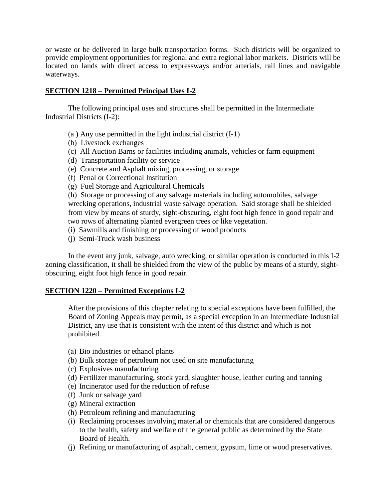or waste or be delivered in large bulk transportation forms. Such districts will be organized to provide employment opportunities for regional and extra regional labor markets. Districts will be located on lands with direct access to expressways and/or arterials, rail lines and navigable waterways.

#### **SECTION 1218 – Permitted Principal Uses I-2**

The following principal uses and structures shall be permitted in the Intermediate Industrial Districts (I-2):

- (a ) Any use permitted in the light industrial district (I-1)
- (b) Livestock exchanges
- (c) All Auction Barns or facilities including animals, vehicles or farm equipment
- (d) Transportation facility or service
- (e) Concrete and Asphalt mixing, processing, or storage
- (f) Penal or Correctional Institution
- (g) Fuel Storage and Agricultural Chemicals

(h) Storage or processing of any salvage materials including automobiles, salvage wrecking operations, industrial waste salvage operation. Said storage shall be shielded from view by means of sturdy, sight-obscuring, eight foot high fence in good repair and two rows of alternating planted evergreen trees or like vegetation.

- (i) Sawmills and finishing or processing of wood products
- (j) Semi-Truck wash business

In the event any junk, salvage, auto wrecking, or similar operation is conducted in this I-2 zoning classification, it shall be shielded from the view of the public by means of a sturdy, sightobscuring, eight foot high fence in good repair.

#### **SECTION 1220 – Permitted Exceptions I-2**

After the provisions of this chapter relating to special exceptions have been fulfilled, the Board of Zoning Appeals may permit, as a special exception in an Intermediate Industrial District, any use that is consistent with the intent of this district and which is not prohibited.

- (a) Bio industries or ethanol plants
- (b) Bulk storage of petroleum not used on site manufacturing
- (c) Explosives manufacturing
- (d) Fertilizer manufacturing, stock yard, slaughter house, leather curing and tanning
- (e) Incinerator used for the reduction of refuse
- (f) Junk or salvage yard
- (g) Mineral extraction
- (h) Petroleum refining and manufacturing
- (i) Reclaiming processes involving material or chemicals that are considered dangerous to the health, safety and welfare of the general public as determined by the State Board of Health.
- (j) Refining or manufacturing of asphalt, cement, gypsum, lime or wood preservatives.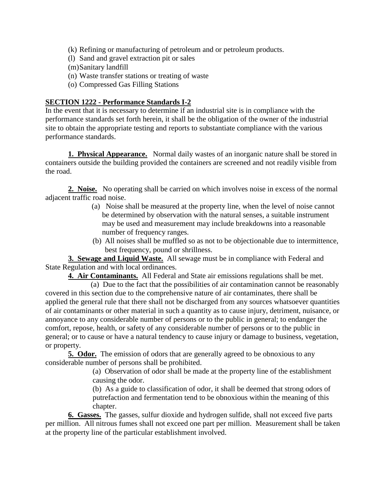- (k) Refining or manufacturing of petroleum and or petroleum products.
- (l) Sand and gravel extraction pit or sales
- (m)Sanitary landfill
- (n) Waste transfer stations or treating of waste
- (o) Compressed Gas Filling Stations

# **SECTION 1222 - Performance Standards I-2**

In the event that it is necessary to determine if an industrial site is in compliance with the performance standards set forth herein, it shall be the obligation of the owner of the industrial site to obtain the appropriate testing and reports to substantiate compliance with the various performance standards.

**1. Physical Appearance.** Normal daily wastes of an inorganic nature shall be stored in containers outside the building provided the containers are screened and not readily visible from the road.

**2. Noise.** No operating shall be carried on which involves noise in excess of the normal adjacent traffic road noise.

- (a) Noise shall be measured at the property line, when the level of noise cannot be determined by observation with the natural senses, a suitable instrument may be used and measurement may include breakdowns into a reasonable number of frequency ranges.
- (b) All noises shall be muffled so as not to be objectionable due to intermittence, best frequency, pound or shrillness.

**3. Sewage and Liquid Waste.** All sewage must be in compliance with Federal and State Regulation and with local ordinances.

**4. Air Contaminants.** All Federal and State air emissions regulations shall be met.

(a) Due to the fact that the possibilities of air contamination cannot be reasonably covered in this section due to the comprehensive nature of air contaminates, there shall be applied the general rule that there shall not be discharged from any sources whatsoever quantities of air contaminants or other material in such a quantity as to cause injury, detriment, nuisance, or annoyance to any considerable number of persons or to the public in general; to endanger the comfort, repose, health, or safety of any considerable number of persons or to the public in general; or to cause or have a natural tendency to cause injury or damage to business, vegetation, or property.

**5. Odor.** The emission of odors that are generally agreed to be obnoxious to any considerable number of persons shall be prohibited.

(a) Observation of odor shall be made at the property line of the establishment causing the odor.

(b) As a guide to classification of odor, it shall be deemed that strong odors of putrefaction and fermentation tend to be obnoxious within the meaning of this chapter.

**6. Gasses.** The gasses, sulfur dioxide and hydrogen sulfide, shall not exceed five parts per million. All nitrous fumes shall not exceed one part per million. Measurement shall be taken at the property line of the particular establishment involved.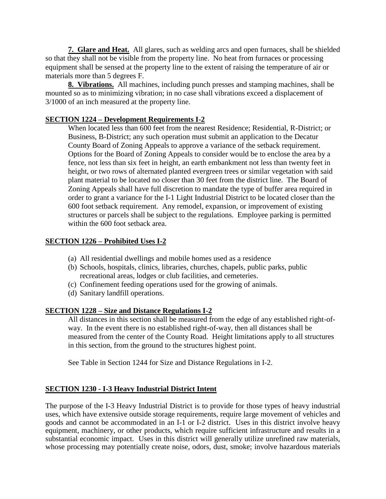**7. Glare and Heat.** All glares, such as welding arcs and open furnaces, shall be shielded so that they shall not be visible from the property line. No heat from furnaces or processing equipment shall be sensed at the property line to the extent of raising the temperature of air or materials more than 5 degrees F.

**8. Vibrations.** All machines, including punch presses and stamping machines, shall be mounted so as to minimizing vibration; in no case shall vibrations exceed a displacement of 3/1000 of an inch measured at the property line.

# **SECTION 1224 – Development Requirements I-2**

When located less than 600 feet from the nearest Residence; Residential, R-District; or Business, B-District; any such operation must submit an application to the Decatur County Board of Zoning Appeals to approve a variance of the setback requirement. Options for the Board of Zoning Appeals to consider would be to enclose the area by a fence, not less than six feet in height, an earth embankment not less than twenty feet in height, or two rows of alternated planted evergreen trees or similar vegetation with said plant material to be located no closer than 30 feet from the district line. The Board of Zoning Appeals shall have full discretion to mandate the type of buffer area required in order to grant a variance for the I-1 Light Industrial District to be located closer than the 600 foot setback requirement. Any remodel, expansion, or improvement of existing structures or parcels shall be subject to the regulations. Employee parking is permitted within the 600 foot setback area.

# **SECTION 1226 – Prohibited Uses I-2**

- (a) All residential dwellings and mobile homes used as a residence
- (b) Schools, hospitals, clinics, libraries, churches, chapels, public parks, public recreational areas, lodges or club facilities, and cemeteries.
- (c) Confinement feeding operations used for the growing of animals.
- (d) Sanitary landfill operations.

# **SECTION 1228 – Size and Distance Regulations I-2**

All distances in this section shall be measured from the edge of any established right-ofway. In the event there is no established right-of-way, then all distances shall be measured from the center of the County Road. Height limitations apply to all structures in this section, from the ground to the structures highest point.

See Table in Section 1244 for Size and Distance Regulations in I-2.

# **SECTION 1230 - I-3 Heavy Industrial District Intent**

The purpose of the I-3 Heavy Industrial District is to provide for those types of heavy industrial uses, which have extensive outside storage requirements, require large movement of vehicles and goods and cannot be accommodated in an I-1 or I-2 district. Uses in this district involve heavy equipment, machinery, or other products, which require sufficient infrastructure and results in a substantial economic impact. Uses in this district will generally utilize unrefined raw materials, whose processing may potentially create noise, odors, dust, smoke; involve hazardous materials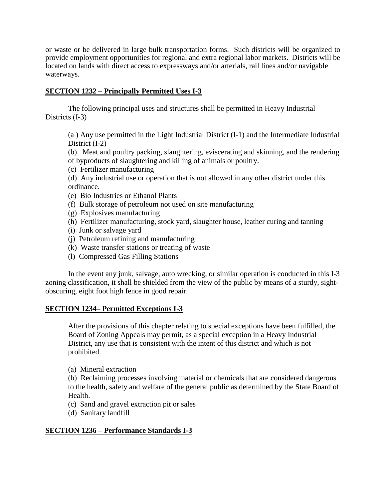or waste or be delivered in large bulk transportation forms. Such districts will be organized to provide employment opportunities for regional and extra regional labor markets. Districts will be located on lands with direct access to expressways and/or arterials, rail lines and/or navigable waterways.

#### **SECTION 1232 – Principally Permitted Uses I-3**

The following principal uses and structures shall be permitted in Heavy Industrial Districts (I-3)

(a ) Any use permitted in the Light Industrial District (I-1) and the Intermediate Industrial District (I-2)

(b) Meat and poultry packing, slaughtering, eviscerating and skinning, and the rendering of byproducts of slaughtering and killing of animals or poultry.

- (c) Fertilizer manufacturing
- (d) Any industrial use or operation that is not allowed in any other district under this ordinance.
- (e) Bio Industries or Ethanol Plants
- (f) Bulk storage of petroleum not used on site manufacturing
- (g) Explosives manufacturing
- (h) Fertilizer manufacturing, stock yard, slaughter house, leather curing and tanning
- (i) Junk or salvage yard
- (j) Petroleum refining and manufacturing
- (k) Waste transfer stations or treating of waste
- (l) Compressed Gas Filling Stations

In the event any junk, salvage, auto wrecking, or similar operation is conducted in this I-3 zoning classification, it shall be shielded from the view of the public by means of a sturdy, sightobscuring, eight foot high fence in good repair.

# **SECTION 1234– Permitted Exceptions I-3**

After the provisions of this chapter relating to special exceptions have been fulfilled, the Board of Zoning Appeals may permit, as a special exception in a Heavy Industrial District, any use that is consistent with the intent of this district and which is not prohibited.

(a) Mineral extraction

(b) Reclaiming processes involving material or chemicals that are considered dangerous to the health, safety and welfare of the general public as determined by the State Board of Health.

- (c) Sand and gravel extraction pit or sales
- (d) Sanitary landfill

# **SECTION 1236 – Performance Standards I-3**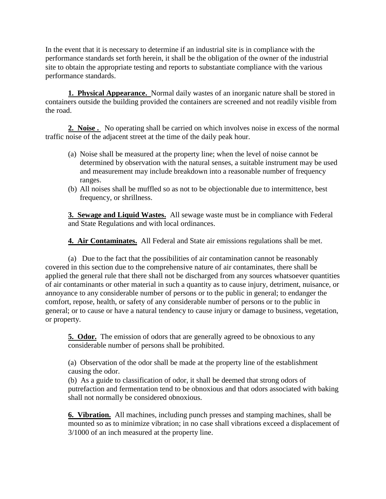In the event that it is necessary to determine if an industrial site is in compliance with the performance standards set forth herein, it shall be the obligation of the owner of the industrial site to obtain the appropriate testing and reports to substantiate compliance with the various performance standards.

**1. Physical Appearance.** Normal daily wastes of an inorganic nature shall be stored in containers outside the building provided the containers are screened and not readily visible from the road.

**2. Noise .** No operating shall be carried on which involves noise in excess of the normal traffic noise of the adjacent street at the time of the daily peak hour.

- (a) Noise shall be measured at the property line; when the level of noise cannot be determined by observation with the natural senses, a suitable instrument may be used and measurement may include breakdown into a reasonable number of frequency ranges.
- (b) All noises shall be muffled so as not to be objectionable due to intermittence, best frequency, or shrillness.

**3. Sewage and Liquid Wastes.** All sewage waste must be in compliance with Federal and State Regulations and with local ordinances.

**4. Air Contaminates.** All Federal and State air emissions regulations shall be met.

(a) Due to the fact that the possibilities of air contamination cannot be reasonably covered in this section due to the comprehensive nature of air contaminates, there shall be applied the general rule that there shall not be discharged from any sources whatsoever quantities of air contaminants or other material in such a quantity as to cause injury, detriment, nuisance, or annoyance to any considerable number of persons or to the public in general; to endanger the comfort, repose, health, or safety of any considerable number of persons or to the public in general; or to cause or have a natural tendency to cause injury or damage to business, vegetation, or property.

**5. Odor.** The emission of odors that are generally agreed to be obnoxious to any considerable number of persons shall be prohibited.

(a) Observation of the odor shall be made at the property line of the establishment causing the odor.

(b) As a guide to classification of odor, it shall be deemed that strong odors of putrefaction and fermentation tend to be obnoxious and that odors associated with baking shall not normally be considered obnoxious.

**6. Vibration.** All machines, including punch presses and stamping machines, shall be mounted so as to minimize vibration; in no case shall vibrations exceed a displacement of 3/1000 of an inch measured at the property line.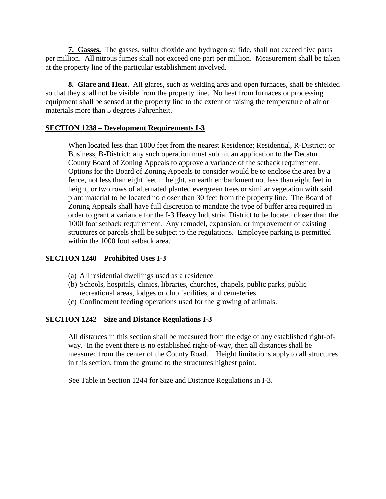**7. Gasses.** The gasses, sulfur dioxide and hydrogen sulfide, shall not exceed five parts per million. All nitrous fumes shall not exceed one part per million. Measurement shall be taken at the property line of the particular establishment involved.

**8. Glare and Heat.** All glares, such as welding arcs and open furnaces, shall be shielded so that they shall not be visible from the property line. No heat from furnaces or processing equipment shall be sensed at the property line to the extent of raising the temperature of air or materials more than 5 degrees Fahrenheit.

# **SECTION 1238 – Development Requirements I-3**

When located less than 1000 feet from the nearest Residence; Residential, R-District; or Business, B-District; any such operation must submit an application to the Decatur County Board of Zoning Appeals to approve a variance of the setback requirement. Options for the Board of Zoning Appeals to consider would be to enclose the area by a fence, not less than eight feet in height, an earth embankment not less than eight feet in height, or two rows of alternated planted evergreen trees or similar vegetation with said plant material to be located no closer than 30 feet from the property line. The Board of Zoning Appeals shall have full discretion to mandate the type of buffer area required in order to grant a variance for the I-3 Heavy Industrial District to be located closer than the 1000 foot setback requirement. Any remodel, expansion, or improvement of existing structures or parcels shall be subject to the regulations. Employee parking is permitted within the 1000 foot setback area.

# **SECTION 1240 – Prohibited Uses I-3**

- (a) All residential dwellings used as a residence
- (b) Schools, hospitals, clinics, libraries, churches, chapels, public parks, public recreational areas, lodges or club facilities, and cemeteries.
- (c) Confinement feeding operations used for the growing of animals.

# **SECTION 1242 – Size and Distance Regulations I-3**

All distances in this section shall be measured from the edge of any established right-ofway. In the event there is no established right-of-way, then all distances shall be measured from the center of the County Road. Height limitations apply to all structures in this section, from the ground to the structures highest point.

See Table in Section 1244 for Size and Distance Regulations in I-3.